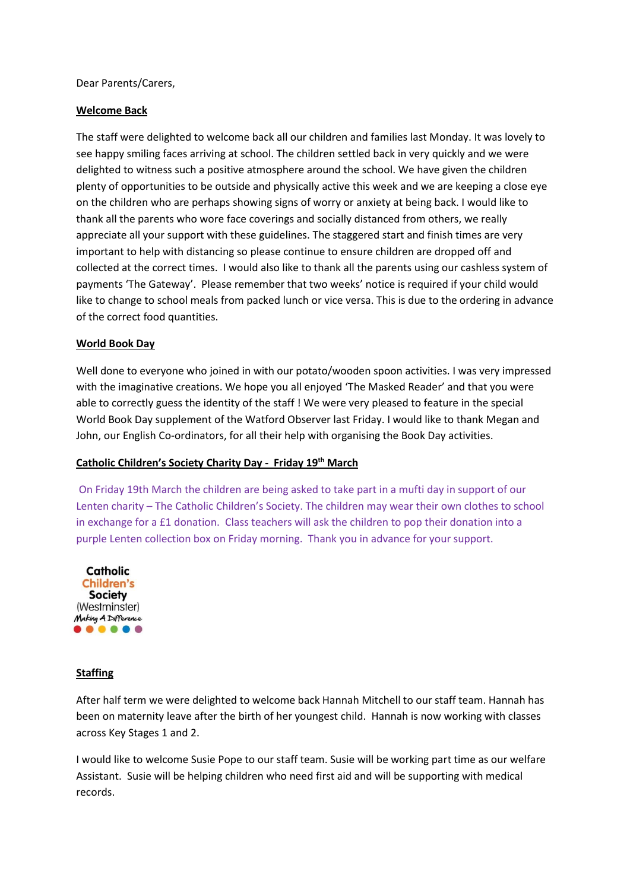Dear Parents/Carers,

## **Welcome Back**

The staff were delighted to welcome back all our children and families last Monday. It was lovely to see happy smiling faces arriving at school. The children settled back in very quickly and we were delighted to witness such a positive atmosphere around the school. We have given the children plenty of opportunities to be outside and physically active this week and we are keeping a close eye on the children who are perhaps showing signs of worry or anxiety at being back. I would like to thank all the parents who wore face coverings and socially distanced from others, we really appreciate all your support with these guidelines. The staggered start and finish times are very important to help with distancing so please continue to ensure children are dropped off and collected at the correct times. I would also like to thank all the parents using our cashless system of payments 'The Gateway'. Please remember that two weeks' notice is required if your child would like to change to school meals from packed lunch or vice versa. This is due to the ordering in advance of the correct food quantities.

## **World Book Day**

Well done to everyone who joined in with our potato/wooden spoon activities. I was very impressed with the imaginative creations. We hope you all enjoyed 'The Masked Reader' and that you were able to correctly guess the identity of the staff ! We were very pleased to feature in the special World Book Day supplement of the Watford Observer last Friday. I would like to thank Megan and John, our English Co-ordinators, for all their help with organising the Book Day activities.

## **Catholic Children's Society Charity Day - Friday 19th March**

On Friday 19th March the children are being asked to take part in a mufti day in support of our Lenten charity – The Catholic Children's Society. The children may wear their own clothes to school in exchange for a £1 donation. Class teachers will ask the children to pop their donation into a purple Lenten collection box on Friday morning. Thank you in advance for your support.



#### **Staffing**

After half term we were delighted to welcome back Hannah Mitchell to our staff team. Hannah has been on maternity leave after the birth of her youngest child. Hannah is now working with classes across Key Stages 1 and 2.

I would like to welcome Susie Pope to our staff team. Susie will be working part time as our welfare Assistant. Susie will be helping children who need first aid and will be supporting with medical records.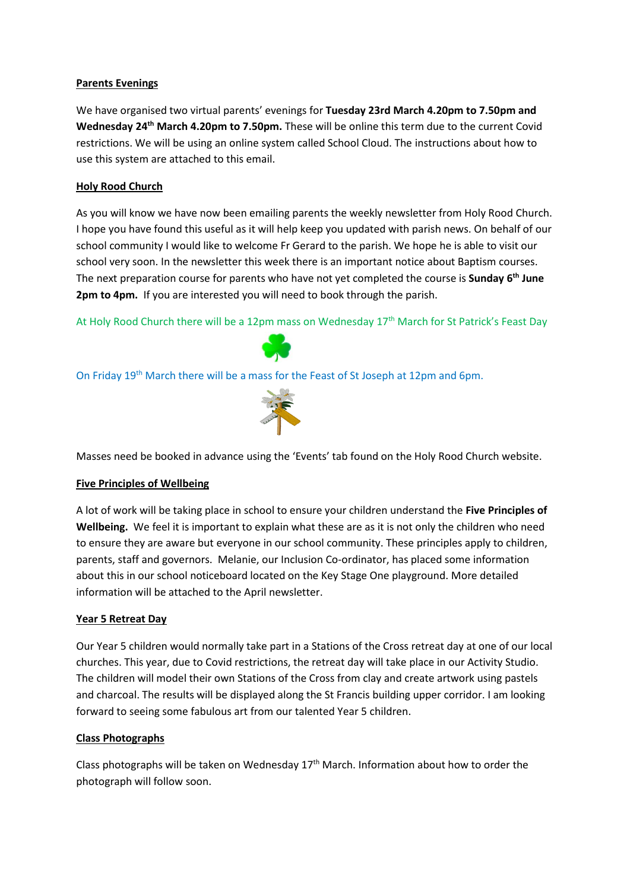## **Parents Evenings**

We have organised two virtual parents' evenings for **Tuesday 23rd March 4.20pm to 7.50pm and Wednesday 24th March 4.20pm to 7.50pm.** These will be online this term due to the current Covid restrictions. We will be using an online system called School Cloud. The instructions about how to use this system are attached to this email.

# **Holy Rood Church**

As you will know we have now been emailing parents the weekly newsletter from Holy Rood Church. I hope you have found this useful as it will help keep you updated with parish news. On behalf of our school community I would like to welcome Fr Gerard to the parish. We hope he is able to visit our school very soon. In the newsletter this week there is an important notice about Baptism courses. The next preparation course for parents who have not yet completed the course is **Sunday 6th June 2pm to 4pm.** If you are interested you will need to book through the parish.

At Holy Rood Church there will be a 12pm mass on Wednesday 17<sup>th</sup> March for St Patrick's Feast Day



On Friday 19th March there will be a mass for the Feast of St Joseph at 12pm and 6pm.



Masses need be booked in advance using the 'Events' tab found on the Holy Rood Church website.

## **Five Principles of Wellbeing**

A lot of work will be taking place in school to ensure your children understand the **Five Principles of Wellbeing.** We feel it is important to explain what these are as it is not only the children who need to ensure they are aware but everyone in our school community. These principles apply to children, parents, staff and governors. Melanie, our Inclusion Co-ordinator, has placed some information about this in our school noticeboard located on the Key Stage One playground. More detailed information will be attached to the April newsletter.

## **Year 5 Retreat Day**

Our Year 5 children would normally take part in a Stations of the Cross retreat day at one of our local churches. This year, due to Covid restrictions, the retreat day will take place in our Activity Studio. The children will model their own Stations of the Cross from clay and create artwork using pastels and charcoal. The results will be displayed along the St Francis building upper corridor. I am looking forward to seeing some fabulous art from our talented Year 5 children.

## **Class Photographs**

Class photographs will be taken on Wednesday  $17<sup>th</sup>$  March. Information about how to order the photograph will follow soon.